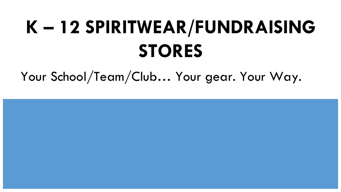# **K – 12 SPIRITWEAR/FUNDRAISING STORES**

Your School/Team/Club… Your gear. Your Way.

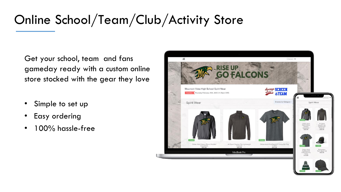## Online School/Team/Club/Activity Store

Get your school, team and fans gameday ready with a custom online store stocked with the gear they love

- Simple to set up
- Easy ordering
- 100% hassle-free

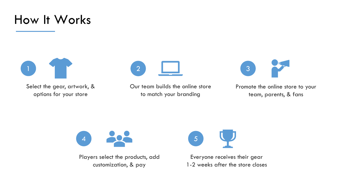#### How It Works



Select the gear, artwork, & options for your store



Our team builds the online store to match your branding



Promote the online store to your team, parents, & fans



Players select the products, add customization, & pay



Everyone receives their gear 1-2 weeks after the store closes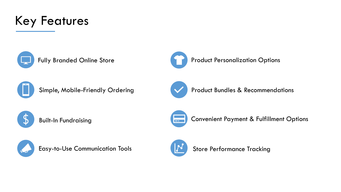



Fully Branded Online Store





Simple, Mobile-Friendly Ordering **Water of Australian Product Bundles & Recommendations** 







Built-In Fundraising **Convenient Payment & Fulfillment Options** 



Easy-to-Use Communication Tools



Store Performance Tracking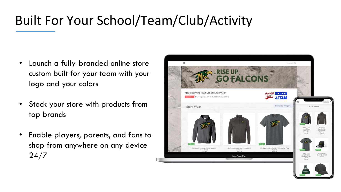# Built For Your School/Team/Club/Activity

- Launch a fully-branded online store custom built for your team with your logo and your colors
- Stock your store with products from top brands
- Enable players, parents, and fans to shop from anywhere on any device 24/7

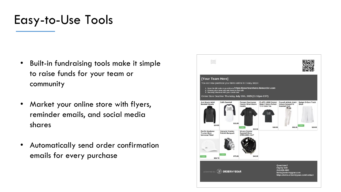#### Easy-to-Use Tools

- Built-in fundraising tools make it simple to raise funds for your team or community
- Market your online store with flyers, reminder emails, and social media shares
- Automatically send order confirmation emails for every purchase

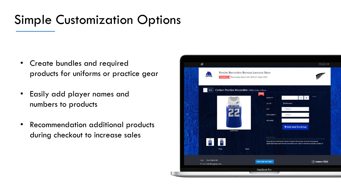### Simple Customization Options

- Create bundles and required products for uniforms or practice gear
- Easily add player names and numbers to products
- Recommendation additional products during checkout to increase sales

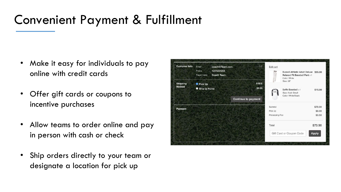#### Convenient Payment & Fulfillment

- Make it easy for individuals to pay online with credit cards
- Offer gift cards or coupons to incentive purchases
- Allow teams to order online and pay in person with cash or check
- Ship orders directly to your team or designate a location for pick up

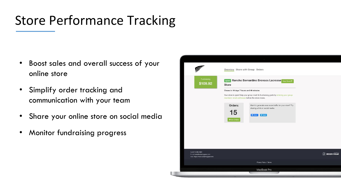## Store Performance Tracking

- Boost sales and overall success of your online store
- Simplify order tracking and communication with your team
- Share your online store on social media
- Monitor fundraising progress

|                                                                                      | Overview Share with Group Orders                                                                                                                                                       |                                                                                                                               |                            |
|--------------------------------------------------------------------------------------|----------------------------------------------------------------------------------------------------------------------------------------------------------------------------------------|-------------------------------------------------------------------------------------------------------------------------------|----------------------------|
| Fundraising<br>\$109.92                                                              | <b>Store</b>                                                                                                                                                                           | open Rancho Bernardino Broncos Lacrosse View Store &                                                                          |                            |
|                                                                                      | Closes in 16 days 7 hours and 46 minutes<br>Your store is open! Help your group meet its fundraising goals by entering your group<br>members' email addresses before the store closes. |                                                                                                                               |                            |
|                                                                                      | Orders:<br>15<br>+View Orders                                                                                                                                                          | Want to generate even more traffic for your store? Try<br>sharing a link on social media.<br><b>O</b> Share<br><b>W</b> Tweet |                            |
|                                                                                      |                                                                                                                                                                                        |                                                                                                                               |                            |
|                                                                                      |                                                                                                                                                                                        |                                                                                                                               |                            |
| Call 214-295-4981<br>E-mail kate@ordermygear.com<br>Web https://www.ordermygear.com/ |                                                                                                                                                                                        |                                                                                                                               | $(\widehat{x})$ ORDERMYGEA |
|                                                                                      |                                                                                                                                                                                        | Privacy Policy & Terms                                                                                                        |                            |
|                                                                                      |                                                                                                                                                                                        | MacBook Pro                                                                                                                   |                            |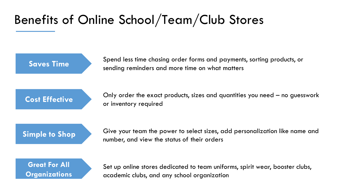### Benefits of Online School/Team/Club Stores

Spend less time chasing order forms and payments, sorting products, or<br>**Saves Time** sending reminders and more time on what matters

**Cost Effective** Only order the exact products, sizes and quantities you need – no guesswork or inventory required

**Simple to Shop** Give your team the power to select sizes, add personalization like name and number, and view the status of their orders



Set up online stores dedicated to team uniforms, spirit wear, booster clubs, academic clubs, and any school organization